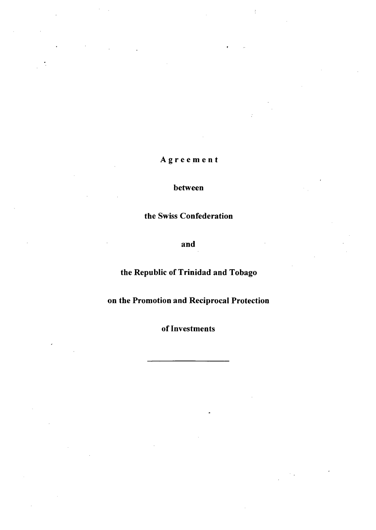# Agreemen t

# between

# the Swiss Confederation

and

# the Republic of Trinidad and Tobago

# on the Promotion and Reciprocal Protection

of Investments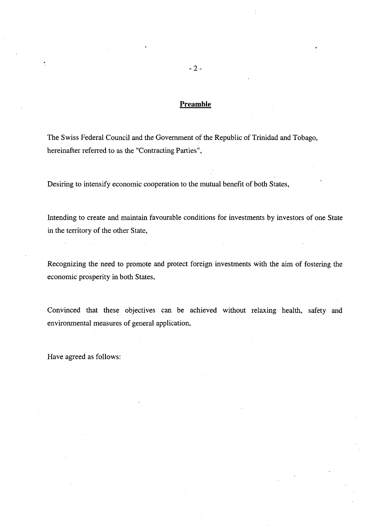# **Preamble**

The Swiss Federal Council and the Government of the Republic of Trinidad and Tobago, hereinafter referred to as the "Contracting Parties",

Desiring to intensify economic cooperation to the mutual benefit of both States,

Intending to create and maintain favourable conditions for investments by investors of one State in the territory of the other State,

Recognizing the need to promote and protect foreign investments with the aim of fostering the economic prosperity in both States,

Convinced that these objectives can be achieved without relaxing health, safety and environmental measures of gênerai application,

Have agreed as follows:

 $\ddot{\phantom{a}}$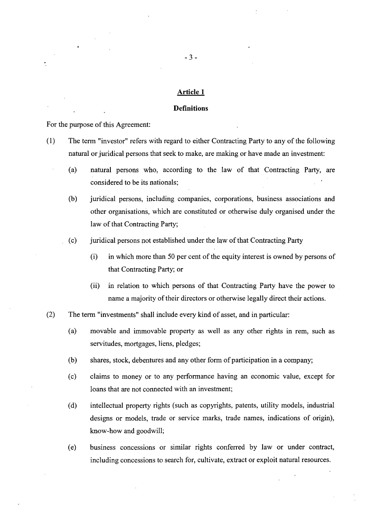#### **Definitions**

For the purpose of this Agreement:

- (1) The term "investor" refers with regard to either Contracting Party to any of the following natural or juridical persons that seek to make, are making or have made an investment:
	- (a) natural persons who, according to the law of that Contracting Party, are considered to be its nationals;
	- (b) juridical persons, including companies, corporations, business associations and other organisations, which are constituted or otherwise duly organised under the law of that Contracting Party;
	- (c) juridical persons not established under the law of that Contracting Party
		- $(i)$  in which more than 50 per cent of the equity interest is owned by persons of that Contracting Party; or
		- (ii) in relation to which persons of that Contracting Party have the power to name a majority of their directors or otherwise legally direct their actions.
- (2) The term "investments" shall include every kind of asset, and in particular:
	- (a) movable and immovable property as well as any other rights in rem, such as servitudes, mortgages, liens, pledges;
	- (b) shares, stock, debentures and any other form of participation in a company;
	- (c) claims to money or to any performance having an economic value, except for loans that are not connected with an investment;
	- (d) intellectual property rights (such as copyrights, patents, utility models, industrial designs or models, trade or service marks, trade names, indications of origin), know-how and goodwill;
	- (e) business concessions or similar rights conferred by law or under contract, including concessions to search for, cultivate, extract or exploit natural resources.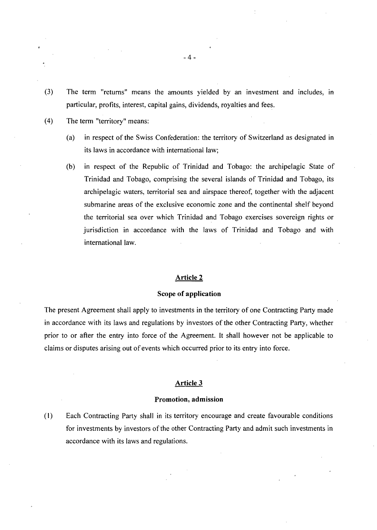- (3) The term "retums" means the amounts yielded by an investment and includes, in particular, profits, interest, capital gains, dividends, royalties and fees.
- (4) The term "territory" means:
	- (a) in respect ofthe Swiss Confédération: the territory of Switzeriand as designated in its laws in accordance with intemational law;
	- (b) in respect of the Republic of Trinidad and Tobago: the archipelagic State of Trinidad and Tobago, comprising the several islands of Trinidad and Tobago, its archipelagic waters, territorial sea and airspace thereof, together with the adjacent submarine areas of the exclusive economic zone and the continental shelf beyond the territorial sea over which Trinidad and Tobago exercises sovereign rights or jurisdiction in accordance with the laws of Trinidad and Tobago and with intemational law.

### Scope of application

The present Agreement shall apply to investments in the territory of one Contracting Party made in accordance with its laws and regulations by investors of the other Contracting Party, whether prior to or after the entry into force of the Agreement. It shall however not be applicable to claims or disputes arising out of events which occurred prior to its entry into force.

#### Article 3

#### Promotion, admission

(1) Each Contracting Party shall in its territory encourage and create favourable conditions for investments by investors of the other Contracting Party and admit such investments in accordance with its laws and regulations.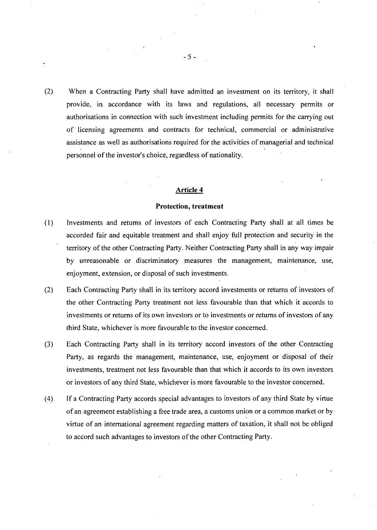(2) When a Contracting Party shall have admitted an investment on its territory, it shall provide, in accordance with its laws and regulations, ail necessary permits or authorisations in connection with such investment including permits for the carrying out of licensing agreements and contracts for technical, commercial or administrative assistance as well as authorisations required for the activities of managerial and technical personnel of the investor's choice, regardless of nationality.

# Article 4

#### Protection, treatment

- (1) Investments and retums of Investors of each Contracting Party shall at ail times be accorded fair and équitable treatment and shall enjoy füll protection and security in the territory of the other Contracting Party. Neither Contracting Party shall in any way impair by unreasonable or discriminatory measures the management, maintenance, use, enjoyment, extension, or disposai of such investments.
- (2) Each Contracting Party shall in its territory accord investments or returns of investors of the other Contracting Party treatment not less favourable than that which it accords to investments or returns of its own investors or to investments or returns of investors of any third State, whichever is more favourable to the Investor concemed.
- (3) Each Contracting Party shall in its territory accord Investors of the other Contracting Party, as regards the management, maintenance, use, enjoyment or disposai of their investments, treatment not less favourable than that which it accords to its own investors or investors of any third State, whichever is more favourable to the investor concerned.
- (4) If a Contracting Party accords special advantages to investors of any third State by virtue of an agreement establishing a free trade area, a customs union or a common market or by virtue of an intemational agreement regarding matters of taxation, it shall not be obliged to accord such advantages to investors of the other Contracting Party.

5 -

 $\ddot{\cdot}$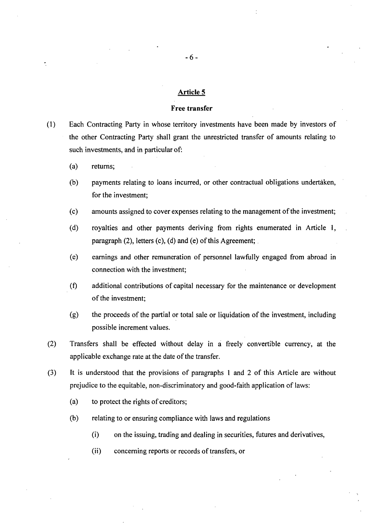#### Free transfer

(1) Each Contracting Party in whose territory investments have been made by Investors of the other Contracting Party shall grant the unrestricted transfer of amounts relating to such investments, and in particular of:

- (a) retums;
- (b) payments relating to loans incurred, or other contractual obligations undertaken, for the investment;
- (c) amounts assigned to cover expenses relating to the management ofthe investment;
- (d) royalties and other payments deriving from rights enumerated in Article 1, paragraph (2), letters (c), (d) and (e) of this Agreement;
- (e) earnings and other rémunération of personnel lawfully engaged from abroad in connection with the investment;
- (f) additional contributions of capital necessary for the maintenance or development of the investment;
- $(g)$  the proceeds of the partial or total sale or liquidation of the investment, including possible increment values.
- (2) Transfers shall be effected without delay in a freely convertible currency, at the applicable exchange rate at the date of the transfer.
- (3) It is understood that the provisions of paragraphs 1 and 2 of this Article are without prejudice to the equitable, non-discriminatory and good-faith application of laws:
	- (a) to protect the rights of creditors;
	- (b) relating to or ensuring compliance with laws and regulations
		- (i) on the issuing, trading and dealing in securities, futures and derivatives,
		- (ii) conceming reports or records of transfers, or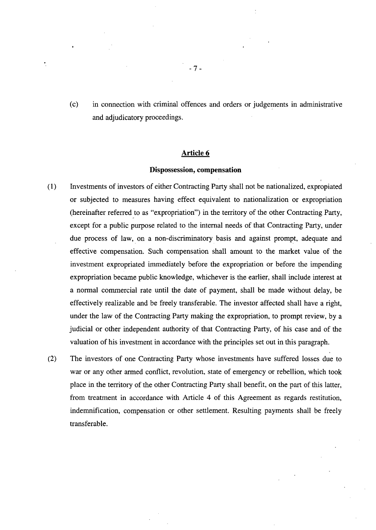(c) in connection with criminal offences and orders or judgements in administrative and adjudicatory proceedings.

# Article 6

# Dispossession, compensation

- (1) Investments of Investors of either Contracting Party shall not be nationalized, expropiated or subjected to measures having effect équivalent to nationalization or expropriation (hereinafter referred to as "expropriation") in the territory of the other Contracting Party, except for a public purpose related to the intemal needs of that Contracting Party, under due process of law, on a non-discriminatory basis and against prompt, adéquate and effective compensation. Such compensation shall amount to the market value of the investment expropriated immediately before the expropriation or before the impending expropriation became public knowledge, whichever is the earlier, shall include interest at a normal commercial rate until the date of payment, shall be made without delay, be effectively realizable and be freely transferable. The investor affected shall have a right, under the law of the Contracting Party making the expropriation, to prompt review, by a judicial or other independent authority of that Contracting Party, of his case and of the valuation of his investment in accordance with the principles set out in this paragraph.
- (2) The Investors of one Contracting Party whose investments have suffered losses due to war or any other armed conflict, revolution, state of emergency or rebellion, which took place in the territory of the other Contracting Party shall benefit, on the part of this latter, from treatment in accordance with Article 4 of this Agreement as regards restitution, indemnification, compensation or other settlement. Resulting payments shall be freely transferable.

7-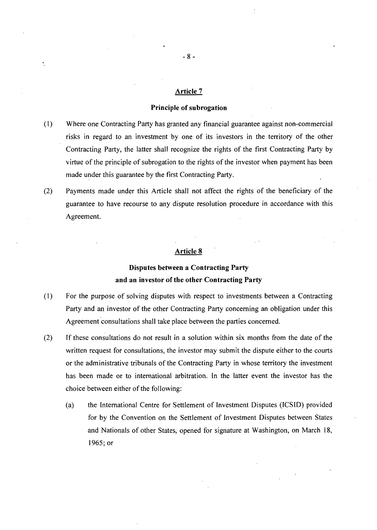# Principle of subrogation

- (1) Where one Contracting Party has granted any financial guarantee against non-commercial risks in regard to an investment by one of its Investors in the territory of the other Contracting Party, the latter shall recognize the rights of the first Contracting Party by virtue of the principle of subrogation to the rights of the investor when payment has been made under this guarantee by the first Contracting Party.
- (2) Payments made under this Article shall not affect the rights of the beneficiary of the guarantee to have recourse to any dispute resolution procédure in accordance with this Agreement.

# Article 8

# Disputes between a Contracting Party and an investor of the other Contracting Party

- (1) For the purpose of solving disputes with respect to investments between a Contracting Party and an investor of the other Contracting Party concerning an obligation under this Agreement consultations shall take place between the parties concemed.
- (2) If these consultations do not result in a solution within six months from the date of the written request for consultations, the investor may submit the dispute either to the courts or the administrative tribunals of the Contracting Party in whose territory the investment has been made or to international arbitration. In the latter event the investor has the choice between either of the following:
	- (a) the Intemational Centre for Settlement of Investment Disputes (ICSID) provided for by the Convention on the Settlement of Investment Disputes between States and Nationals of other States, opened for signature at Washington, on March 18, 1965; or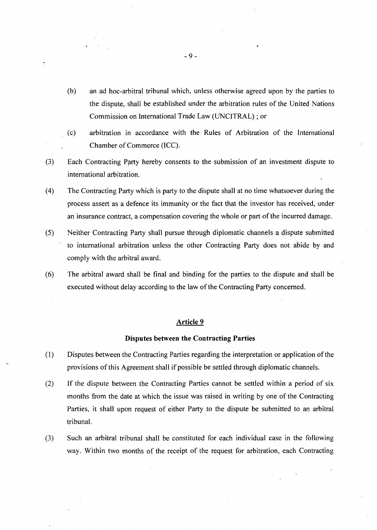- (b) an ad hoc-arbitral tribunal which, unless otherwise agreed upon by the parties to the dispute, shall be established under the arbitration rules of the United Nations Commission on International Trade Law (UNCITRAL) ; or
- (c) arbitration in accordance with the Rules of Arbitration of the International Chamber of Commerce (ICC).
- (3) Each Contracting Party hereby consents to the submission of an investment dispute to intemational arbitration.
- (4) The Contracting Party which is party to the dispute shall at no time whatsoever during the process assert as a defence its immunity or the fact that the Investor has received, under an insurance contract, a compensation covering the whole or part of the incurred damage.
- (5) Neither Contracting Party shall pursue through diplomatie Channels a dispute submitted to intemational arbitration unless the other Contracting Party does not abide by and comply with the arbitral award.
- (6) The arbitral award shall be final and binding for the parties to the dispute and shall be executed without delay according to the law of the Contracting Party concerned.

## Disputes between the Contracting Parties

- (1) Disputes between the Contracting Parties regarding the interpretation or application of the provisions ofthis Agreement shall if possible be settled through diplomatie Channels.
- (2) If the dispute between the Contracting Parties cannot be settled within a period of six months from the date at which the issue was raised in writing by one of the Contracting Parties, it shall upon request of either Party to the dispute be submitted to an arbitral tribunal.
- (3) Such an arbitral tribunal shall be constituted for each individual case in the following way. Within two months of the receipt of the request for arbitration, each Contracting

 $\ddot{\phantom{a}}$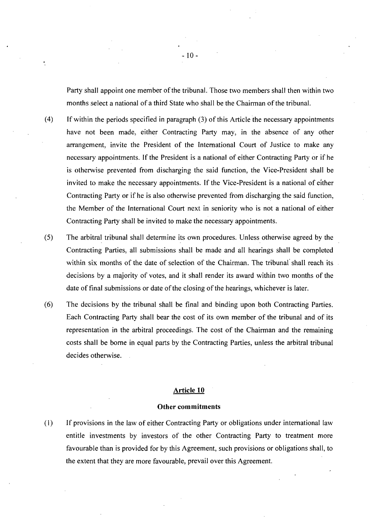Party shall appoint one member of the tribunal. Those two members shall then within two months select a national of a third State who shall be the Chairman of the tribunal.

- $(4)$  If within the periods specified in paragraph  $(3)$  of this Article the necessary appointments have not been made, either Contracting Party may, in the absence of any other arrangement, invite the President of the Intemational Court of Justice to make any necessary appointments. If the President is a national of either Contracting Party or if he is otherwise prevented from discharging the said function, the Vice-President shall be invited to make the necessary appointments. If the Vice-President is a national of either Contracting Party or if he is also otherwise prevented from discharging the said function, the Member of the Intemational Court next in seniority who is not a national of either Contracting Party shall be invited to make the necessary appointments.
- (5) The arbitral tribunal shall détermine its own procédures. Unless otherwise agreed by the Contracting Parties, all submissions shall be made and all hearings shall be completed within six months of the date of selection of the Chairman. The tribunal shall reach its decisions by a majority of votes, and it shall render its award within two months of the date of final submissions or date of the closing of the hearings, whichever is later.
- (6) The décisions by the tribunal shall be final and binding upon both Contracting Parties. Each Contracting Party shall bear the cost of its own member of the tribunal and of its representation in the arbitral proceedings. The cost of the Chairman and the remaining costs shall be bome in equal parts by the Contracting Parties, unless the arbitral tribunal decides otherwise.

#### Article 10

#### Other commitments

(1) If provisions in the law of either Contracting Party or obligations under intemational law entitle investments by investors of the other Contracting Party to treatment more favourable than is provided for by this Agreement, such provisions or obligations shall, to the extent that they are more favourable, prevail over this Agreement.

 $-10-$